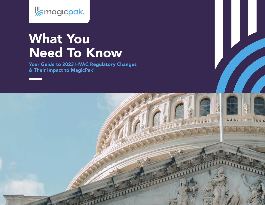

# What You Need To Know

Your Guide to 2023 HVAC Regulatory Changes & Their Impact to MagicPak®

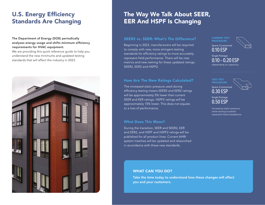### U.S. Energy Efficiency Standards Are Changing

#### The Department of Energy (DOE) periodically analyzes energy usage and shifts minimum efficiency requirements for HVAC equipment.

We are providing this quick reference guide to help you understand the new minimums and updated testing standards that will affect the industry in 2023.



### The Way We Talk About SEER, EER And HSPF Is Changing

Beginning in 2023, manufacturers will be required to comply with new, more stringent testing standards for efficiency ratings to more accurately represent field performance. There will be new metrics and new naming for these updated ratings: SEER2, EER2 and HSPF2.

The increased static pressure used during efficiency testing means SEER2 and EER2 ratings will be approximately 5% lower than current SEER and EER ratings. HSPF2 ratings will be approximately 15% lower. This does not equate to a loss of performance.

### What Does This Mean?

During the transition, SEER and SEER2, EER and EER2, and HSPF and HSPF2 ratings will be published for all product lines. Current AHRI system matches will be updated and relaunched in accordance with these new standards.



Single Package 0.10 – 0.20 ESP (depending on capacity)

Space-Constrained 0.30 ESP

Single Package 0.50 ESP

Increasing static pressure while testing to better represent field installations

### WHAT CAN YOU DO?

Take the time today to understand how these changes will affect you and your customers.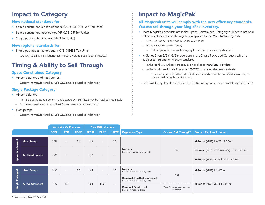### Impact to Category

### New national standards for

- **Space constrained air conditioners (G/E & E/E 0.75–2.5 Ton Units)**
- **Space constrained heat pumps (HP 0.75–2.5 Ton Units)**
- **Single package heat pumps (HP 3 Ton Units)**

### New regional standards for

- **Single package air conditioners (G/E & E/E 3 Ton Units)** 
	- CA, NV, AZ & NM installations must meet new standards effective 1/1/2023

# Timing & Ability to Sell Through

### Space Constrained Category

- **Air conditioners and heat pumps** 
	- Equipment manufactured by 12/31/2022 may be installed indefinitely

### Single Package Category

- **Air conditioners** 
	- North & Southeast equipment manufactured by 12/31/2022 may be installed indefinitely
	- Southwest installations as of 1/1/2023 must meet the new standards
- Heat pumps
	- Equipment manufactured by 12/31/2022 may be installed indefinitely

## Impact to MagicPak®

### All MagicPak units will comply with the new efficiency standards. You can sell through your MagicPak inventory.

- **Most MagicPak products are in the Space Constrained Category, subject to national** efficiency standards, so the regulation applies to the Manufacture by date.
	- 0.75 2.5 Ton All Fuel Types (M-Series & V-Series)
	- 3.0 Ton Heat Pumps (M-Series)
		- In the Space Constrained Category, but subject to a national standard
- **•** M-Series 3 ton E/E & G/E models are in the Single Packaged Category which is subject to regional efficiency standards.
	- In the North & Southeast, the regulation applies to Manufacture by date
	- In the Southwest, installations as of 1/1/2023 must meet the new standards
		- The current M-Series 3 ton E/E & G/E units already meet the new 2023 minimums, so you can sell through your inventory
- **AHRI will be updated to include the SEER2 ratings on current models by 12/31/202**

|                          |                         | <b>Current DOE Minimum</b> |                          |                          | <b>New DOE Minimum</b> |                          |                          |                                                             |                                                  |                                              |
|--------------------------|-------------------------|----------------------------|--------------------------|--------------------------|------------------------|--------------------------|--------------------------|-------------------------------------------------------------|--------------------------------------------------|----------------------------------------------|
|                          |                         | <b>SEER</b>                | <b>EER</b>               | <b>HSPF</b>              | SEER2                  | EER2                     | HSPF2                    | <b>Regulation Type</b>                                      | <b>Can You Sell Through?</b>                     | <b>Product Families Affected</b>             |
| <b>Space Constrained</b> | <b>Heat Pumps</b>       | 12.0                       | $\overline{\phantom{a}}$ | 7.4                      | 11.9                   | $\sim$                   | 6.3                      | <b>National</b><br>Based on Manufacture by Date             | Yes                                              | <b>M-Series</b> (MHP) $\vert$ 0.75 – 2.5 Ton |
|                          | <b>Air Conditioners</b> | 12.0                       | $\overline{\phantom{0}}$ | $\overline{\phantom{0}}$ | 11.7                   | $\sim$                   | $\overline{\phantom{0}}$ |                                                             |                                                  | V-Series (EWC/HWC8/HWC9)   $1.0 - 2.5$ Ton   |
|                          |                         |                            |                          |                          |                        |                          |                          |                                                             |                                                  | <b>M-Series</b> (MGE/MCE)   $0.75 - 2.5$ Ton |
| Single Packaged          | <b>Heat Pumps</b>       | 14.0                       | $\overline{\phantom{a}}$ | 8.0                      | 13.4                   | $\overline{\phantom{a}}$ | 6.7                      | National<br>Based on Manufacture by Date                    | Yes<br>Yes - Current units meet new<br>standards | M-Series (MHP)   3.0 Ton                     |
|                          | <b>Air Conditioners</b> | 14.0                       | $11.0*$                  | $\overline{\phantom{a}}$ | 13.4                   | $10.6*$                  | $\overline{\phantom{a}}$ | Regional: North & Southeast<br>Based on Manufacture by Date |                                                  | M-Series (MGE/MCE)   3.0 Ton                 |
|                          |                         |                            |                          |                          |                        |                          |                          | <b>Regional: Southwest</b><br>Based on Install by Date      |                                                  |                                              |